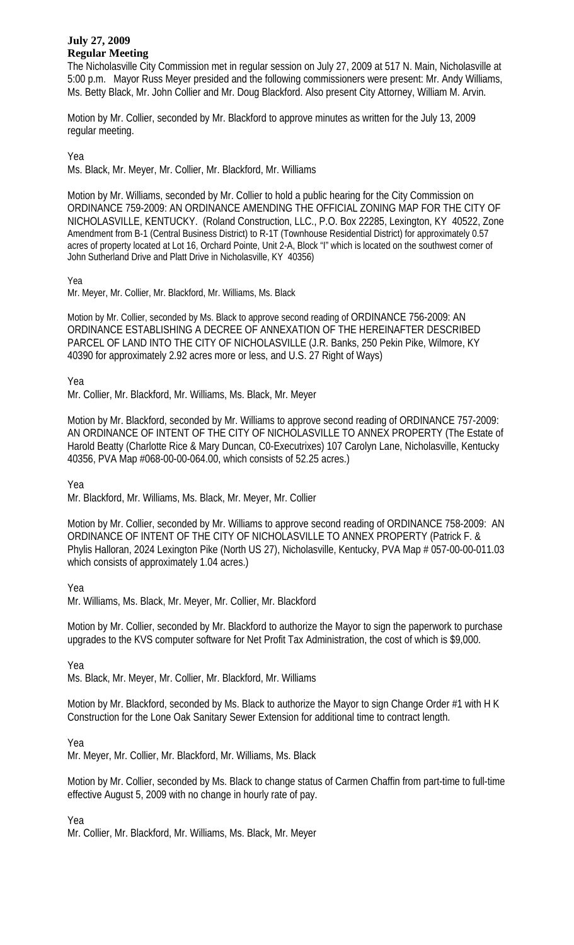## **July 27, 2009 Regular Meeting**

The Nicholasville City Commission met in regular session on July 27, 2009 at 517 N. Main, Nicholasville at 5:00 p.m. Mayor Russ Meyer presided and the following commissioners were present: Mr. Andy Williams, Ms. Betty Black, Mr. John Collier and Mr. Doug Blackford. Also present City Attorney, William M. Arvin.

Motion by Mr. Collier, seconded by Mr. Blackford to approve minutes as written for the July 13, 2009 regular meeting.

Yea

Ms. Black, Mr. Meyer, Mr. Collier, Mr. Blackford, Mr. Williams

Motion by Mr. Williams, seconded by Mr. Collier to hold a public hearing for the City Commission on ORDINANCE 759-2009: AN ORDINANCE AMENDING THE OFFICIAL ZONING MAP FOR THE CITY OF NICHOLASVILLE, KENTUCKY. (Roland Construction, LLC., P.O. Box 22285, Lexington, KY 40522, Zone Amendment from B-1 (Central Business District) to R-1T (Townhouse Residential District) for approximately 0.57 acres of property located at Lot 16, Orchard Pointe, Unit 2-A, Block "I" which is located on the southwest corner of John Sutherland Drive and Platt Drive in Nicholasville, KY 40356)

Yea

Mr. Meyer, Mr. Collier, Mr. Blackford, Mr. Williams, Ms. Black

Motion by Mr. Collier, seconded by Ms. Black to approve second reading of ORDINANCE 756-2009: AN ORDINANCE ESTABLISHING A DECREE OF ANNEXATION OF THE HEREINAFTER DESCRIBED PARCEL OF LAND INTO THE CITY OF NICHOLASVILLE (J.R. Banks, 250 Pekin Pike, Wilmore, KY 40390 for approximately 2.92 acres more or less, and U.S. 27 Right of Ways)

Yea

Mr. Collier, Mr. Blackford, Mr. Williams, Ms. Black, Mr. Meyer

Motion by Mr. Blackford, seconded by Mr. Williams to approve second reading of ORDINANCE 757-2009: AN ORDINANCE OF INTENT OF THE CITY OF NICHOLASVILLE TO ANNEX PROPERTY (The Estate of Harold Beatty (Charlotte Rice & Mary Duncan, C0-Executrixes) 107 Carolyn Lane, Nicholasville, Kentucky 40356, PVA Map #068-00-00-064.00, which consists of 52.25 acres.)

Yea

Mr. Blackford, Mr. Williams, Ms. Black, Mr. Meyer, Mr. Collier

Motion by Mr. Collier, seconded by Mr. Williams to approve second reading of ORDINANCE 758-2009: AN ORDINANCE OF INTENT OF THE CITY OF NICHOLASVILLE TO ANNEX PROPERTY (Patrick F. & Phylis Halloran, 2024 Lexington Pike (North US 27), Nicholasville, Kentucky, PVA Map # 057-00-00-011.03 which consists of approximately 1.04 acres.)

Yea

Mr. Williams, Ms. Black, Mr. Meyer, Mr. Collier, Mr. Blackford

Motion by Mr. Collier, seconded by Mr. Blackford to authorize the Mayor to sign the paperwork to purchase upgrades to the KVS computer software for Net Profit Tax Administration, the cost of which is \$9,000.

Yea

Ms. Black, Mr. Meyer, Mr. Collier, Mr. Blackford, Mr. Williams

Motion by Mr. Blackford, seconded by Ms. Black to authorize the Mayor to sign Change Order #1 with H K Construction for the Lone Oak Sanitary Sewer Extension for additional time to contract length.

Yea

Mr. Meyer, Mr. Collier, Mr. Blackford, Mr. Williams, Ms. Black

Motion by Mr. Collier, seconded by Ms. Black to change status of Carmen Chaffin from part-time to full-time effective August 5, 2009 with no change in hourly rate of pay.

Yea

Mr. Collier, Mr. Blackford, Mr. Williams, Ms. Black, Mr. Meyer